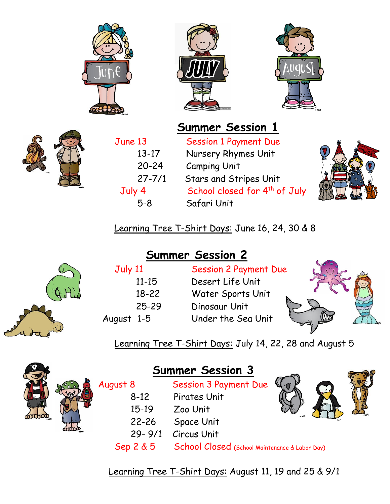







June 13 Session 1 Payment Due 13-17 Nursery Rhymes Unit 20-24 Camping Unit 27-7/1 Stars and Stripes Unit Tuly 4 School closed for 4<sup>th</sup> of July 5-8 Safari Unit



Learning Tree T-Shirt Days: June 16, 24, 30 & 8

## **Summer Session 2**



| July 11  |       |
|----------|-------|
|          | 11-15 |
|          | 18-22 |
|          | 25-29 |
| gust 1-5 |       |
|          |       |

**Session 2 Payment Due** Desert Life Unit Water Sports Unit Dinosaur Unit August 1-5 Under the Sea Unit



Learning Tree T-Shirt Days: July 14, 22, 28 and August 5



|  | <b>Summer Session 3</b> |                                                |  |
|--|-------------------------|------------------------------------------------|--|
|  | August 8                | <b>Session 3 Payment Due</b>                   |  |
|  | $8 - 12$                | Pirates Unit                                   |  |
|  | $15-19$                 | Zoo Unit                                       |  |
|  | $22 - 26$               | Space Unit                                     |  |
|  | $29 - 9/1$              | <b>Circus Unit</b>                             |  |
|  | Sep 2 & 5               | School Closed (School Maintenance & Labor Day) |  |

Learning Tree T-Shirt Days: August 11, 19 and 25 & 9/1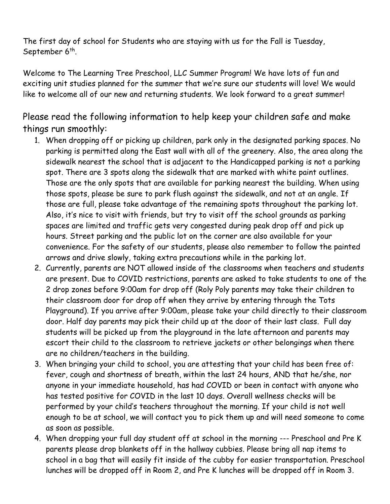The first day of school for Students who are staying with us for the Fall is Tuesday, September 6<sup>th</sup>.

Welcome to The Learning Tree Preschool, LLC Summer Program! We have lots of fun and exciting unit studies planned for the summer that we're sure our students will love! We would like to welcome all of our new and returning students. We look forward to a great summer!

Please read the following information to help keep your children safe and make things run smoothly:

- 1. When dropping off or picking up children, park only in the designated parking spaces. No parking is permitted along the East wall with all of the greenery. Also, the area along the sidewalk nearest the school that is adjacent to the Handicapped parking is not a parking spot. There are 3 spots along the sidewalk that are marked with white paint outlines. Those are the only spots that are available for parking nearest the building. When using those spots, please be sure to park flush against the sidewalk, and not at an angle. If those are full, please take advantage of the remaining spots throughout the parking lot. Also, it's nice to visit with friends, but try to visit off the school grounds as parking spaces are limited and traffic gets very congested during peak drop off and pick up hours. Street parking and the public lot on the corner are also available for your convenience. For the safety of our students, please also remember to follow the painted arrows and drive slowly, taking extra precautions while in the parking lot.
- 2. Currently, parents are NOT allowed inside of the classrooms when teachers and students are present. Due to COVID restrictions, parents are asked to take students to one of the 2 drop zones before 9:00am for drop off (Roly Poly parents may take their children to their classroom door for drop off when they arrive by entering through the Tots Playground). If you arrive after 9:00am, please take your child directly to their classroom door. Half day parents may pick their child up at the door of their last class. Full day students will be picked up from the playground in the late afternoon and parents may escort their child to the classroom to retrieve jackets or other belongings when there are no children/teachers in the building.
- 3. When bringing your child to school, you are attesting that your child has been free of: fever, cough and shortness of breath, within the last 24 hours, AND that he/she, nor anyone in your immediate household, has had COVID or been in contact with anyone who has tested positive for COVID in the last 10 days. Overall wellness checks will be performed by your child's teachers throughout the morning. If your child is not well enough to be at school, we will contact you to pick them up and will need someone to come as soon as possible.
- 4. When dropping your full day student off at school in the morning --- Preschool and Pre K parents please drop blankets off in the hallway cubbies. Please bring all nap items to school in a bag that will easily fit inside of the cubby for easier transportation. Preschool lunches will be dropped off in Room 2, and Pre K lunches will be dropped off in Room 3.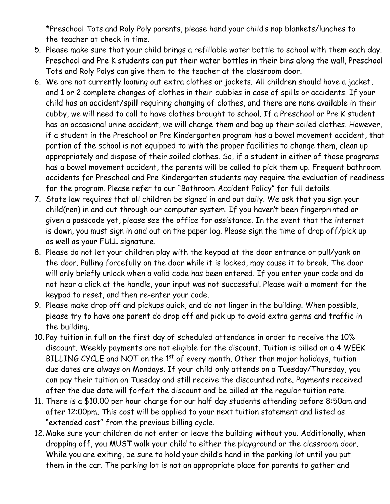\*Preschool Tots and Roly Poly parents, please hand your child's nap blankets/lunches to the teacher at check in time.

- 5. Please make sure that your child brings a refillable water bottle to school with them each day. Preschool and Pre K students can put their water bottles in their bins along the wall, Preschool Tots and Roly Polys can give them to the teacher at the classroom door.
- 6. We are not currently loaning out extra clothes or jackets. All children should have a jacket, and 1 or 2 complete changes of clothes in their cubbies in case of spills or accidents. If your child has an accident/spill requiring changing of clothes, and there are none available in their cubby, we will need to call to have clothes brought to school. If a Preschool or Pre K student has an occasional urine accident, we will change them and bag up their soiled clothes. However, if a student in the Preschool or Pre Kindergarten program has a bowel movement accident, that portion of the school is not equipped to with the proper facilities to change them, clean up appropriately and dispose of their soiled clothes. So, if a student in either of those programs has a bowel movement accident, the parents will be called to pick them up. Frequent bathroom accidents for Preschool and Pre Kindergarten students may require the evaluation of readiness for the program. Please refer to our "Bathroom Accident Policy" for full details.
- 7. State law requires that all children be signed in and out daily. We ask that you sign your child(ren) in and out through our computer system. If you haven't been fingerprinted or given a passcode yet, please see the office for assistance. In the event that the internet is down, you must sign in and out on the paper log. Please sign the time of drop off/pick up as well as your FULL signature.
- 8. Please do not let your children play with the keypad at the door entrance or pull/yank on the door. Pulling forcefully on the door while it is locked, may cause it to break. The door will only briefly unlock when a valid code has been entered. If you enter your code and do not hear a click at the handle, your input was not successful. Please wait a moment for the keypad to reset, and then re-enter your code.
- 9. Please make drop off and pickups quick, and do not linger in the building. When possible, please try to have one parent do drop off and pick up to avoid extra germs and traffic in the building.
- 10. Pay tuition in full on the first day of scheduled attendance in order to receive the 10% discount. Weekly payments are not eligible for the discount. Tuition is billed on a 4 WEEK BILLING CYCLE and NOT on the 1st of every month. Other than major holidays, tuition due dates are always on Mondays. If your child only attends on a Tuesday/Thursday, you can pay their tuition on Tuesday and still receive the discounted rate. Payments received after the due date will forfeit the discount and be billed at the regular tuition rate.
- 11. There is a \$10.00 per hour charge for our half day students attending before 8:50am and after 12:00pm. This cost will be applied to your next tuition statement and listed as "extended cost" from the previous billing cycle.
- 12. Make sure your children do not enter or leave the building without you. Additionally, when dropping off, you MUST walk your child to either the playground or the classroom door. While you are exiting, be sure to hold your child's hand in the parking lot until you put them in the car. The parking lot is not an appropriate place for parents to gather and